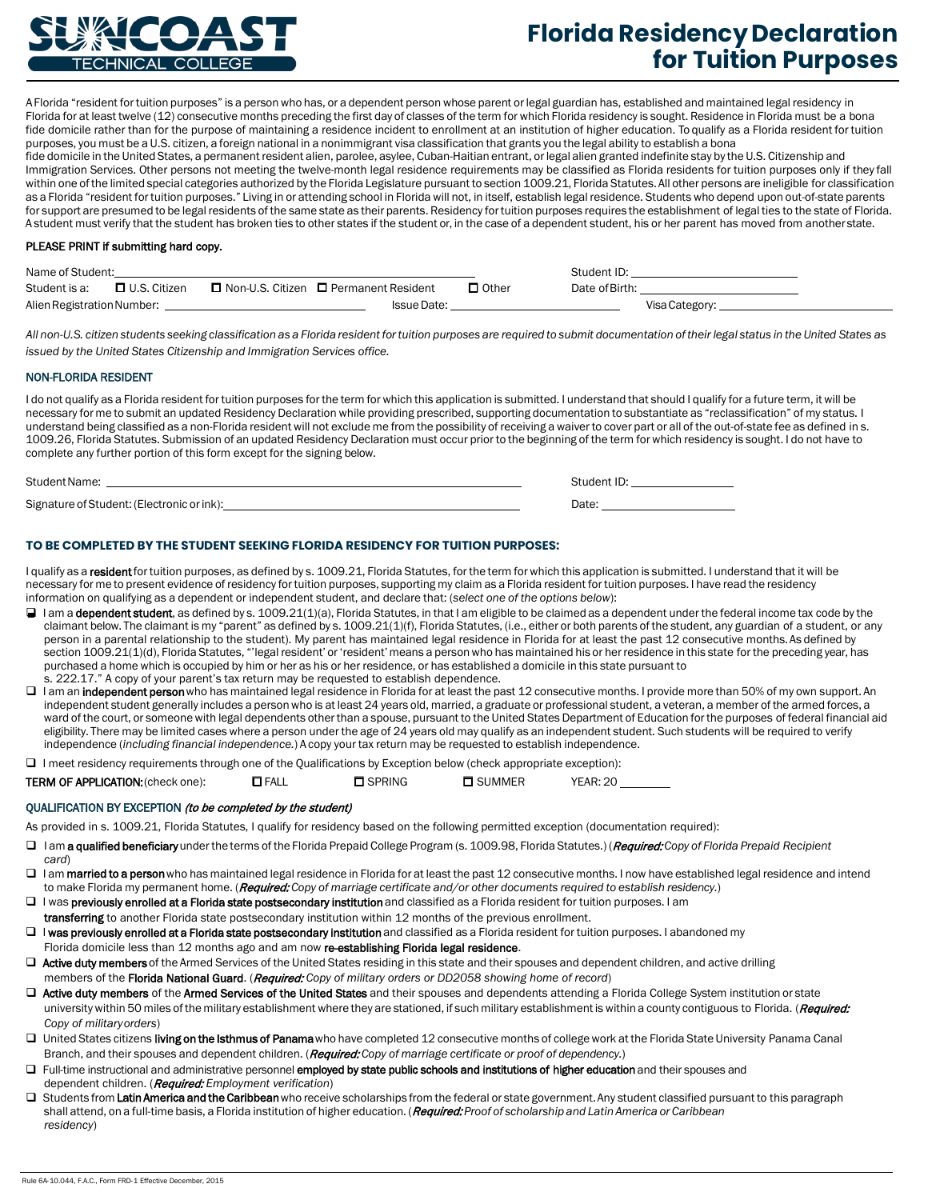

# **Florida Residency Declaration for Tuition Purposes**

A Florida "resident fortuition purposes" is a personwho has, or a dependent person whose parent orlegal guardian has, established and maintained legal residency in Florida for at least twelve (12) consecutive months preceding the first day of classes of the term for which Florida residency is sought. Residence in Florida must be a bona fide domicile rather than for the purpose of maintaining a residence incident to enrollment at an institution of higher education. To qualify as a Florida resident for tuition purposes, you must be a U.S. citizen, a foreign national in a nonimmigrant visa classification that grants you the legal ability to establish a bona fide domicile in the United States, a permanent resident alien, parolee, asylee, Cuban-Haitian entrant, or legal alien granted indefinite stay by the U.S. Citizenship and Immigration Services. Other persons not meeting the twelve-month legal residence requirements may be classified as Florida residents for tuition purposes only if they fall within one ofthe limited special categories authorized by the Florida Legislature pursuant to section 1009.21, Florida Statutes.All other persons are ineligible for classification as a Florida "resident for tuition purposes." Living in or attending school in Florida will not, in itself, establish legal residence. Students who depend upon out-of-state parents for support are presumed to be legal residents of the same state as their parents. Residency for tuition purposes requires the establishment of legal ties to the state of Florida. A student must verify that the student has broken ties to other states if the student or, in the case of a dependent student, his or her parent has moved from anotherstate.

#### PLEASE PRINT if submitting hard copy.

| Name of Student:           |                |  |                                         |              | Student ID:    |  |
|----------------------------|----------------|--|-----------------------------------------|--------------|----------------|--|
| Student is a:              | □ U.S. Citizen |  | □ Non-U.S. Citizen □ Permanent Resident | $\Box$ Other | Date of Birth: |  |
| Alien Registration Number: |                |  | <b>Issue Date:</b>                      |              | Visa Category: |  |

All non-U.S. citizen students seeking classification as a Florida resident for tuition purposes are required to submit documentation of their legal status in the United States as *issued by the United States Citizenship and Immigration Services office.*

# NON-FLORIDA RESIDENT

I do not qualify as a Florida resident for tuition purposes for the term for which this application is submitted. I understand that should I qualify for a future term, it will be necessary for me to submit an updated Residency Declaration while providing prescribed, supporting documentation to substantiate as "reclassification" of my status. I understand being classified as a non-Florida resident will not exclude me from the possibility of receiving a waiver to cover part or all of the out-of-state fee as defined in s. 1009.26, Florida Statutes. Submission of an updated Residency Declaration must occur prior to the beginning of the term forwhich residency is sought. I do not have to complete any further portion of this form except for the signing below.

| Student Name:                              | udent ID |
|--------------------------------------------|----------|
| Signature of Student: (Electronic or ink): | Date:    |

# **TO BE COMPLETED BY THE STUDENT SEEKING FLORIDA RESIDENCY FOR TUITION PURPOSES:**

I qualify as a resident for tuition purposes, as defined by s. 1009.21, Florida Statutes, for the term for which this application is submitted. I understand that it will be necessary for me to present evidence of residency fortuition purposes, supporting my claim as a Florida resident fortuition purposes. I have read the residency information on qualifying as a dependent or independent student, and declare that: (*select one of the options below*):

- I am a dependent student, as defined by s. 1009.21(1)(a), Florida Statutes, in that I am eligible to be claimed as a dependent under the federal income tax code by the claimant below. The claimant is my "parent" as defined by s. 1009.21(1)(f), Florida Statutes, (i.e., either or both parents of the student, any guardian of a student, or any person in a parental relationship to the student). My parent has maintained legal residence in Florida for at least the past 12 consecutive months. As defined by section 1009.21(1)(d), Florida Statutes, "legal resident' or 'resident' means a person who has maintained his or her residence in this state for the preceding year, has purchased a home which is occupied by him or her as his or her residence, or has established a domicile in this state pursuant to s. 222.17." A copy of your parent's tax return may be requested to establish dependence.
- I am an independent person who has maintained legal residence in Florida for at least the past 12 consecutive months. I provide more than 50% of my own support. An independent student generally includes a person who is at least 24 years old, married, a graduate or professional student, a veteran, a member of the armed forces, a ward of the court, or someone with legal dependents otherthan a spouse, pursuant to the United States Department of Education forthe purposes of federal financial aid eligibility. There may be limited cases where a person under the age of 24 years old may qualify as an independent student. Such students will be required to verify independence (*including financial independence.*) A copy your tax return may be requested to establish independence.
- $\Box$  I meet residency requirements through one of the Qualifications by Exception below (check appropriate exception):

| <b>TERM OF APPLICATION:</b> (check one):<br><b>J</b> FALL<br>□ SPRING<br>$\Box$ summer | <b>YEAR: 20</b> |
|----------------------------------------------------------------------------------------|-----------------|
|----------------------------------------------------------------------------------------|-----------------|

#### QUALIFICATION BY EXCEPTION (to be completed by the student)

As provided in s. 1009.21, Florida Statutes, I qualify for residency based on the following permitted exception (documentation required):

- I am a qualified beneficiaryunderthe terms of the Florida Prepaid College Program (s. 1009.98, Florida Statutes.) (Required: *Copy of Florida Prepaid Recipient card*)
- I am married to a person who has maintained legal residence in Florida for at least the past 12 consecutive months. I now have established legal residence and intend to make Florida my permanent home. (Required: *Copy of marriage certificate and/or other documents required to establish residency.*)
- □ I was previously enrolled at a Florida state postsecondary institution and classified as a Florida resident for tuition purposes. I am transferring to another Florida state postsecondary institution within 12 months of the previous enrollment.
- □ I was previously enrolled at a Florida state postsecondary institution and classified as a Florida resident for tuition purposes. I abandoned my
- Florida domicile less than 12 months ago and am now re-establishing Florida legal residence.
- □ Active duty members of the Armed Services of the United States residing in this state and their spouses and dependent children, and active drilling members of the Florida National Guard. (Required: *Copy of military orders or DD2058 showing home of record*)
- □ Active duty members of the Armed Services of the United States and their spouses and dependents attending a Florida College System institution or state university within 50 miles of the military establishment where they are stationed, if such military establishment is within a county contiguous to Florida. (Required: *Copy of militaryorders*)
- □ United States citizens living on the Isthmus of Panama who have completed 12 consecutive months of college work at the Florida State University Panama Canal Branch, and their spouses and dependent children. (Required: *Copy of marriage certificate or proof of dependency.*)
- □ Full-time instructional and administrative personnel employed by state public schools and institutions of higher education and their spouses and dependent children. (Required: *Employment verification*)
- □ Students from Latin America and the Caribbean who receive scholarships from the federal or state government. Any student classified pursuant to this paragraph shall attend, on a full-time basis, a Florida institution of higher education. (Required: *Proof of scholarship and LatinAmerica or Caribbean residency*)